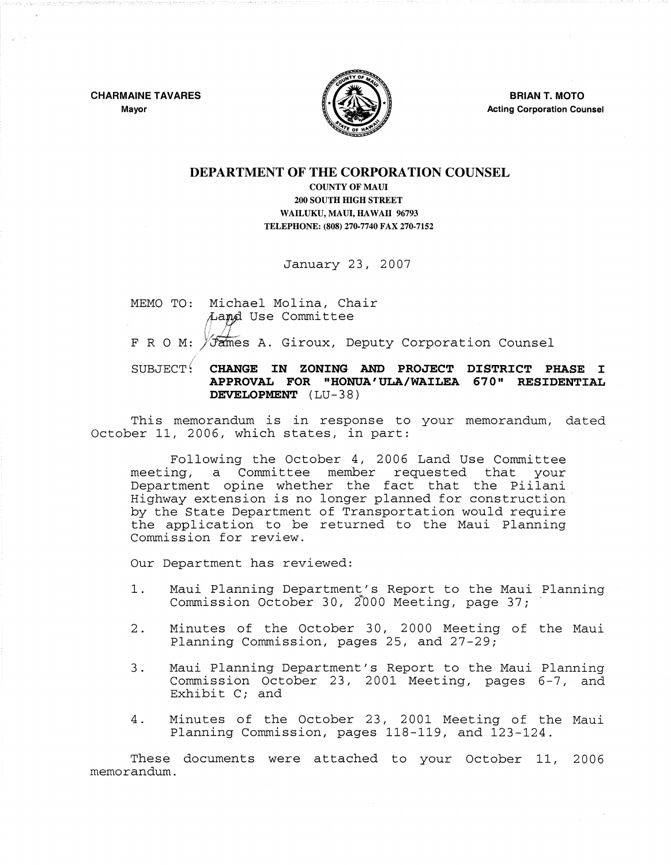CHARMAINE TAVARES Mayor



BRIAN T. MOTO Acting Corporation Counsel

## DEPARTMENT OF THE CORPORATION COUNSEL

COUNTY OF MAUl 200 SOUTH HIGH STREET WAILUKU, MAUl, HAWAII 96793 TELEPHONE: (808) 270-7740 FAX 270-7152

January 23, 2007

MEMO TO: Michael Molina, Chair Land Use Committee

F R O M: VJames A. Giroux, Deputy Corporation Counsel

SUBJECT CHANGE IN ZONING AND PROJECT DISTRICT PHASE I APPROVAL FOR "HONUA'ULA/WAILEA 670" RESIDENTIAL DEVELOPMENT (LU-38)

This memorandum is in response to your memorandum, dated October 11, 2006, which states, in part:

Following the October 4, 2006 Land Use Committee meeting, a Committee member requested that your Department opine whether the fact that the Piilani Highway extension is no longer planned for construction by the State Department of Transportation would require the application to be returned to the Maui Planning Commission for review.

Our Department has reviewed:

- 1. Maui Planning Department's Report to the Maui Planning Commission October 30, 2000 Meeting, page 37;
- 2. Minutes of the October 30, 2000 Meeting of the Maui Planning Commission, pages 25, and 27-29;
- 3. Maui Planning Department's Report to the Maui Planning Commission October 23, 2001 Meeting, pages 6-7, and Exhibit C; and
- 4. Minutes of the October 23, 2001 Meeting of the Maui Planning Commission, pages 118-119, and 123-124.

These documents were attached to your October 11, 2006 memorandum.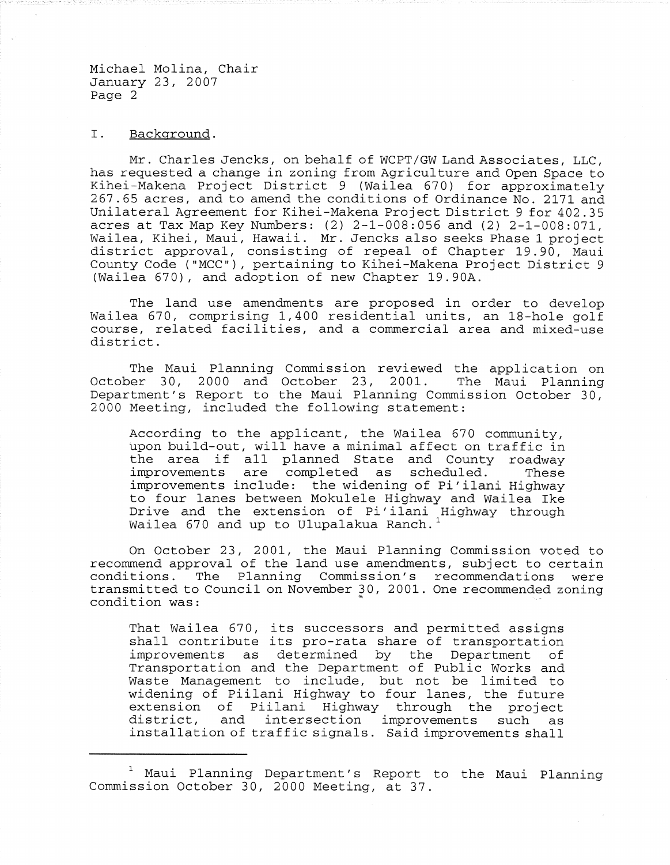## I. Background.

Mr. Charles Jencks, on behalf of WCPT /GW Land Associates, LLC, has requested a change in zoning from Agriculture and Open Space to Kihei-Makena Project District <sup>9</sup> (Wailea 670) for approximately 267.65 acres, and to amend the conditions of Ordinance No. 2171 and Unilateral Agreement for Kihei-Makena Project District 9 for 402.35 acres at Tax Map Key Numbers: (2) 2-1-008:056 and (2) 2-1-008:071, Wailea, Kihei, Maui, Hawaii. Mr. Jencks also seeks Phase 1 project district approval, consisting of repeal of Chapter 19.90, Maui County Code ("MCC"), pertaining to Kihei-Makena Project District 9 (Wailea 670), and adoption of new Chapter 19.90A.

The land use amendments are proposed in order to develop Wailea 670, comprising 1,400 residential units, an 18-hole golf course, related facilities, and <sup>a</sup> commercial area and mixed-use district.

The Maui Planning Commission reviewed the application on October 30, 2000 and October 23, 2001. The Maui Planning Department's Report to the Maui Planning Commission October 30, 2000 Meeting, included the following statement:

According to the applicant, the Wailea 670 community, upon build-out, will have <sup>a</sup> minimal affect on traffic in the area if all planned State and County roadway<br>improvements are completed as scheduled. These improvements are completed as scheduled. improvements include: the widening of Pi'ilani Highway to four lanes between Mokulele Highway and Wailea Ike Drive and the extension of Pi' ilani Highway through Wailea 670 and up to Ulupalakua Ranch.<sup>1</sup>

On October 23, 2001, the Maui Planning Commission voted to recommend approval of the land use amendments, subject to certain conditions. The Planning Commission's recommendations were transmitted to Council on November 30, 2001. One recommended zoning condition was:

That Wailea 670, its successors and permitted assigns shall contribute its pro-rata share of transportation improvements as determined by the Department of Transportation and the Department of Public Works and Waste Management to include, but not be limited to widening of Piilani Highway to four lanes, the future extension of Piilani Highway through the project district, and intersection improvements such as installation of traffic signals. Said improvements shall

<sup>1</sup> Maui Planning Department's Report to the Maui Planning Commission October 30, 2000 Meeting, at 37.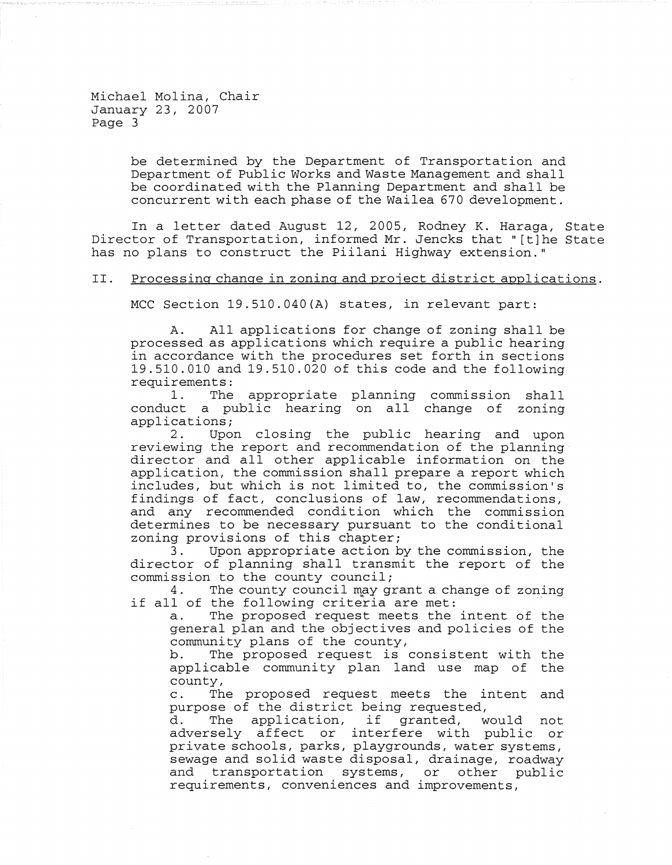> be determined by the Department of Transportation and Department of Public Works and Waste Management and shall be coordinated with the Planning Department and shall be concurrent with each phase of the Wailea 670 development.

In <sup>a</sup> letter dated August 12, 2005, Rodney K. Haraga, State Director of Transportation, informed Mr. Jencks that" [t]he State has no plans to construct the Piilani Highway extension."

## II. Processing change in zoning and project district applications.

MCC Section 19.510.040(A) states, in relevant part:

A. All applications for change of zoning shall be processed as applications which require a public hearing in accordance with the procedures set forth in sections 19.510.010 and 19.510.020 of this code and the following requirements:<br>1. The

The appropriate planning commission shall conduct <sup>a</sup> public hearing on all change of zoning  $applications;$ <br> $2.$  Upor

Upon closing the public hearing and upon reviewing the report and recommendation of the planningdirector and all other applicable information on the application, the commission shall prepare <sup>a</sup> report which includes, but which is not limited to, the commission's findings of fact, conclusions of law, recommendations, and any recommended condition which the commission determines to be necessary pursuant to the conditional zoning provisions of this chapter;

3. Upon appropriate action by the commission, the director of planning shall transmit the report of the commission to the county council;

4. The county council may grant a change of zoning if all of the following criteria are met:<br>a. The proposed request meets the

The proposed request meets the intent of the general plan and the objectives and policies of the community plans of the county,

b. The proposed request is consistent with the applicable community plan land use map of the county,

c. The proposed request meets the intent and purpose of the district being requested,

purpose or the district being requested,<br>d. The application, if granted, would not adversely affect or interfere with public or private schools, parks, playgrounds, water systems, sewage and solid waste disposal, drainage, roadway and transportation systems, or other public requirements, conveniences and improvements,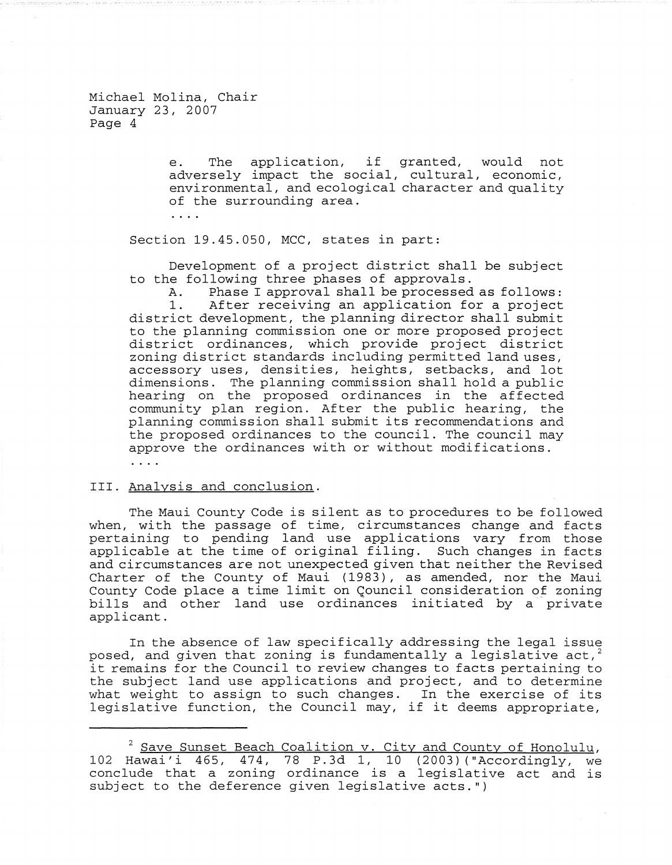> e. The application, if granted, would not adversely impact the social, cultural, economic, environmental, and ecological character and quality of the surrounding area.

 $\mathbf{1}$   $\mathbf{2}$   $\mathbf{3}$ 

Section 19.45.050, MCC, states in part:

Development of <sup>a</sup> project district shall be subject to the following three phases of approvals.

A. Phase I approval shall be processed as follows:<br>1. After receiving an application for a project After receiving an application for a project district development, the planning director shall submit to the planning commission one or more proposed project district ordinances, which provide project district zoning district standards including permitted land uses, accessory uses, densities, heights, setbacks, and lot dimensions. The planning commission shall hold a public hearing on the proposed ordinances in the affected community plan region. After the public hearing, the planning commission shall submit its recommendations and the proposed ordinances to the council. The council may approve the ordinances with or without modifications.

 $\cdots$ 

## III. Analysis and conclusion.

The Maui County Code is silent as to procedures to be followed when, with the passage of time, circumstances change and facts pertaining to pending land use applications vary from those applicable at the time of original filing. Such changes in facts and circumstances are not unexpected given that neither the Revised Charter of the County of Maui (1983), as amended, nor the Maui County Code place a time limit on Gouncil consideration *of* zoning bills and other land use ordinances initiated by a private applicant.

In the absence of law specifically addressing the legal issue posed, and given that zoning is fundamentally a legislative act, it remains for the Council to review changes to facts pertaining to the subject land use applications and project, and to determine what weight to assign to such changes. In the exercise of its legislative function, the Council may, if it deems appropriate,

<sup>&</sup>lt;sup>2</sup> Save Sunset Beach Coalition v. City and County of Honolulu, 102 Hawai'i 465, 474, 78 P.3d I, 10 (2003) ("Accordingly, we conclude that <sup>a</sup> zoning ordinance is <sup>a</sup> legislative act and is subject to the deference given legislative acts.")